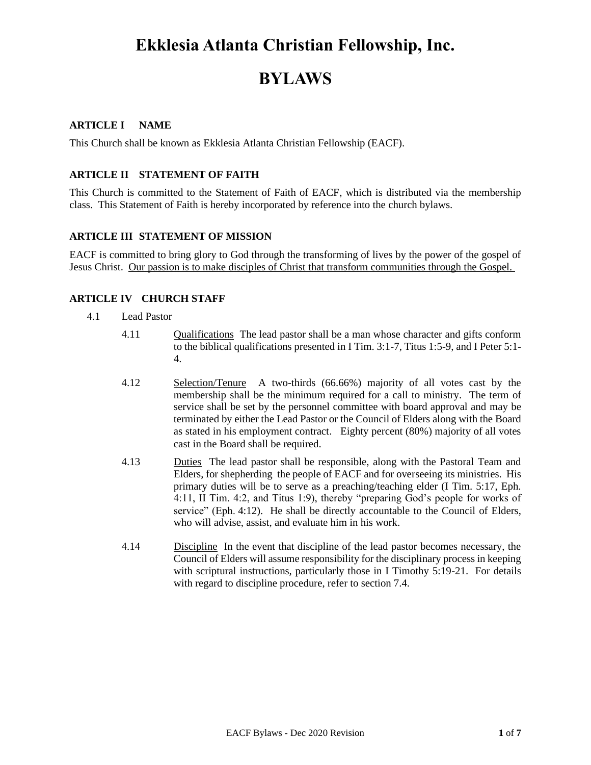## **Ekklesia Atlanta Christian Fellowship, Inc.**

## **BYLAWS**

## **ARTICLE I NAME**

This Church shall be known as Ekklesia Atlanta Christian Fellowship (EACF).

#### **ARTICLE II STATEMENT OF FAITH**

This Church is committed to the Statement of Faith of EACF, which is distributed via the membership class. This Statement of Faith is hereby incorporated by reference into the church bylaws.

#### **ARTICLE III STATEMENT OF MISSION**

EACF is committed to bring glory to God through the transforming of lives by the power of the gospel of Jesus Christ. Our passion is to make disciples of Christ that transform communities through the Gospel.

#### **ARTICLE IV CHURCH STAFF**

- 4.1 Lead Pastor
	- 4.11 Qualifications The lead pastor shall be a man whose character and gifts conform to the biblical qualifications presented in I Tim. 3:1-7, Titus 1:5-9, and I Peter 5:1- 4.
	- 4.12 Selection/Tenure A two-thirds (66.66%) majority of all votes cast by the membership shall be the minimum required for a call to ministry. The term of service shall be set by the personnel committee with board approval and may be terminated by either the Lead Pastor or the Council of Elders along with the Board as stated in his employment contract. Eighty percent (80%) majority of all votes cast in the Board shall be required.
	- 4.13 Duties The lead pastor shall be responsible, along with the Pastoral Team and Elders, for shepherding the people of EACF and for overseeing its ministries. His primary duties will be to serve as a preaching/teaching elder (I Tim. 5:17, Eph. 4:11, II Tim. 4:2, and Titus 1:9), thereby "preparing God's people for works of service" (Eph. 4:12). He shall be directly accountable to the Council of Elders, who will advise, assist, and evaluate him in his work.
	- 4.14 Discipline In the event that discipline of the lead pastor becomes necessary, the Council of Elders will assume responsibility for the disciplinary process in keeping with scriptural instructions, particularly those in I Timothy 5:19-21. For details with regard to discipline procedure, refer to section 7.4.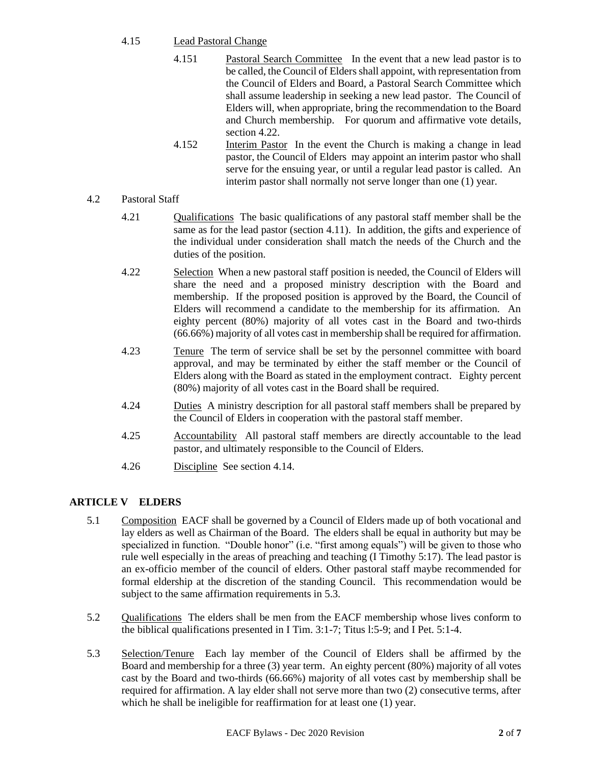## 4.15 Lead Pastoral Change

- 4.151 Pastoral Search Committee In the event that a new lead pastor is to be called, the Council of Elders shall appoint, with representation from the Council of Elders and Board, a Pastoral Search Committee which shall assume leadership in seeking a new lead pastor. The Council of Elders will, when appropriate, bring the recommendation to the Board and Church membership. For quorum and affirmative vote details, section 4.22.
- 4.152 Interim Pastor In the event the Church is making a change in lead pastor, the Council of Elders may appoint an interim pastor who shall serve for the ensuing year, or until a regular lead pastor is called. An interim pastor shall normally not serve longer than one (1) year.
- 4.2 Pastoral Staff
	- 4.21 **Qualifications** The basic qualifications of any pastoral staff member shall be the same as for the lead pastor (section 4.11). In addition, the gifts and experience of the individual under consideration shall match the needs of the Church and the duties of the position.
	- 4.22 Selection When a new pastoral staff position is needed, the Council of Elders will share the need and a proposed ministry description with the Board and membership. If the proposed position is approved by the Board, the Council of Elders will recommend a candidate to the membership for its affirmation. An eighty percent (80%) majority of all votes cast in the Board and two-thirds (66.66%) majority of all votes cast in membership shall be required for affirmation.
	- 4.23 Tenure The term of service shall be set by the personnel committee with board approval, and may be terminated by either the staff member or the Council of Elders along with the Board as stated in the employment contract. Eighty percent (80%) majority of all votes cast in the Board shall be required.
	- 4.24 Duties A ministry description for all pastoral staff members shall be prepared by the Council of Elders in cooperation with the pastoral staff member.
	- 4.25 Accountability All pastoral staff members are directly accountable to the lead pastor, and ultimately responsible to the Council of Elders.
	- 4.26 Discipline See section 4.14.

## **ARTICLE V ELDERS**

- 5.1 Composition EACF shall be governed by a Council of Elders made up of both vocational and lay elders as well as Chairman of the Board. The elders shall be equal in authority but may be specialized in function. "Double honor" (i.e. "first among equals") will be given to those who rule well especially in the areas of preaching and teaching (I Timothy 5:17). The lead pastor is an ex-officio member of the council of elders. Other pastoral staff maybe recommended for formal eldership at the discretion of the standing Council. This recommendation would be subject to the same affirmation requirements in 5.3.
- 5.2 Qualifications The elders shall be men from the EACF membership whose lives conform to the biblical qualifications presented in I Tim. 3:1-7; Titus l:5-9; and I Pet. 5:1-4.
- 5.3 Selection/Tenure Each lay member of the Council of Elders shall be affirmed by the Board and membership for a three (3) year term. An eighty percent (80%) majority of all votes cast by the Board and two-thirds (66.66%) majority of all votes cast by membership shall be required for affirmation. A lay elder shall not serve more than two (2) consecutive terms, after which he shall be ineligible for reaffirmation for at least one (1) year.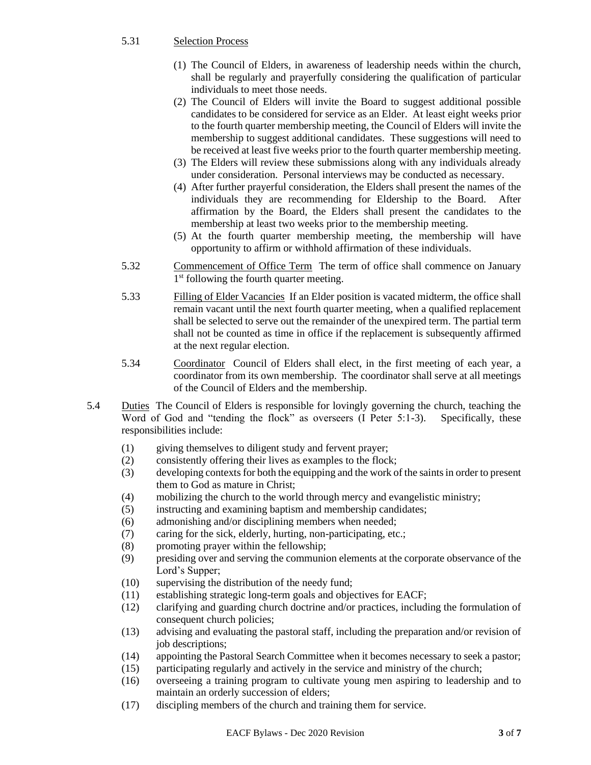#### 5.31 Selection Process

- (1) The Council of Elders, in awareness of leadership needs within the church, shall be regularly and prayerfully considering the qualification of particular individuals to meet those needs.
- (2) The Council of Elders will invite the Board to suggest additional possible candidates to be considered for service as an Elder. At least eight weeks prior to the fourth quarter membership meeting, the Council of Elders will invite the membership to suggest additional candidates. These suggestions will need to be received at least five weeks prior to the fourth quarter membership meeting.
- (3) The Elders will review these submissions along with any individuals already under consideration. Personal interviews may be conducted as necessary.
- (4) After further prayerful consideration, the Elders shall present the names of the individuals they are recommending for Eldership to the Board. After affirmation by the Board, the Elders shall present the candidates to the membership at least two weeks prior to the membership meeting.
- (5) At the fourth quarter membership meeting, the membership will have opportunity to affirm or withhold affirmation of these individuals.
- 5.32 Commencement of Office Term The term of office shall commence on January 1<sup>st</sup> following the fourth quarter meeting.
- 5.33 Filling of Elder Vacancies If an Elder position is vacated midterm, the office shall remain vacant until the next fourth quarter meeting, when a qualified replacement shall be selected to serve out the remainder of the unexpired term. The partial term shall not be counted as time in office if the replacement is subsequently affirmed at the next regular election.
- 5.34 Coordinator Council of Elders shall elect, in the first meeting of each year, a coordinator from its own membership. The coordinator shall serve at all meetings of the Council of Elders and the membership.
- 5.4 Duties The Council of Elders is responsible for lovingly governing the church, teaching the Word of God and "tending the flock" as overseers (I Peter 5:1-3). Specifically, these responsibilities include:
	- (1) giving themselves to diligent study and fervent prayer;
	- (2) consistently offering their lives as examples to the flock;
	- (3) developing contexts for both the equipping and the work of the saints in order to present them to God as mature in Christ;
	- (4) mobilizing the church to the world through mercy and evangelistic ministry;
	- (5) instructing and examining baptism and membership candidates;
	- (6) admonishing and/or disciplining members when needed;
	- (7) caring for the sick, elderly, hurting, non-participating, etc.;
	- (8) promoting prayer within the fellowship;
	- (9) presiding over and serving the communion elements at the corporate observance of the Lord's Supper;
	- (10) supervising the distribution of the needy fund;
	- (11) establishing strategic long-term goals and objectives for EACF;
	- (12) clarifying and guarding church doctrine and/or practices, including the formulation of consequent church policies;
	- (13) advising and evaluating the pastoral staff, including the preparation and/or revision of job descriptions;
	- (14) appointing the Pastoral Search Committee when it becomes necessary to seek a pastor;
	- (15) participating regularly and actively in the service and ministry of the church;
	- (16) overseeing a training program to cultivate young men aspiring to leadership and to maintain an orderly succession of elders;
	- (17) discipling members of the church and training them for service.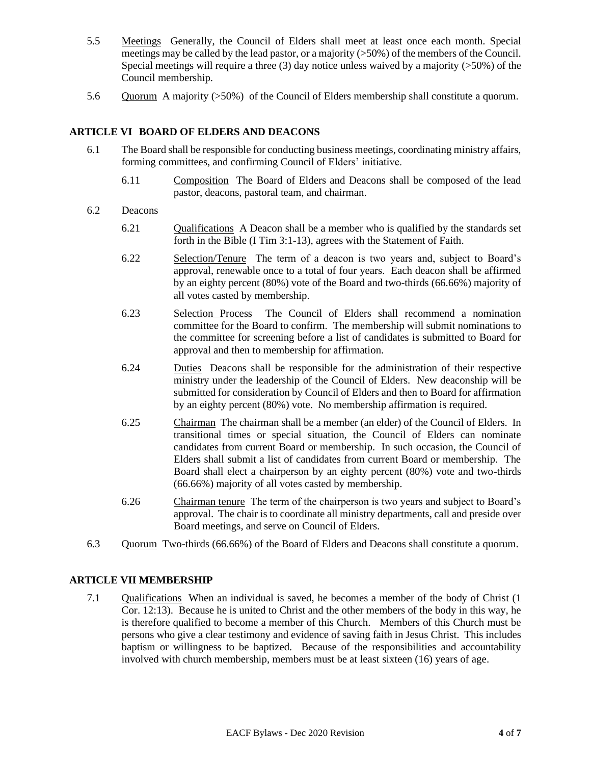- 5.5 Meetings Generally, the Council of Elders shall meet at least once each month. Special meetings may be called by the lead pastor, or a majority (>50%) of the members of the Council. Special meetings will require a three  $(3)$  day notice unless waived by a majority ( $>50\%$ ) of the Council membership.
- 5.6 Quorum A majority (>50%) of the Council of Elders membership shall constitute a quorum.

## **ARTICLE VI BOARD OF ELDERS AND DEACONS**

- 6.1 The Board shall be responsible for conducting business meetings, coordinating ministry affairs, forming committees, and confirming Council of Elders' initiative.
	- 6.11 Composition The Board of Elders and Deacons shall be composed of the lead pastor, deacons, pastoral team, and chairman.
- 6.2 Deacons
	- 6.21 Qualifications A Deacon shall be a member who is qualified by the standards set forth in the Bible (I Tim 3:1-13), agrees with the Statement of Faith.
	- 6.22 Selection/Tenure The term of a deacon is two years and, subject to Board's approval, renewable once to a total of four years. Each deacon shall be affirmed by an eighty percent (80%) vote of the Board and two-thirds (66.66%) majority of all votes casted by membership.
	- 6.23 Selection Process The Council of Elders shall recommend a nomination committee for the Board to confirm. The membership will submit nominations to the committee for screening before a list of candidates is submitted to Board for approval and then to membership for affirmation.
	- 6.24 Duties Deacons shall be responsible for the administration of their respective ministry under the leadership of the Council of Elders. New deaconship will be submitted for consideration by Council of Elders and then to Board for affirmation by an eighty percent (80%) vote. No membership affirmation is required.
	- 6.25 Chairman The chairman shall be a member (an elder) of the Council of Elders. In transitional times or special situation, the Council of Elders can nominate candidates from current Board or membership. In such occasion, the Council of Elders shall submit a list of candidates from current Board or membership. The Board shall elect a chairperson by an eighty percent (80%) vote and two-thirds (66.66%) majority of all votes casted by membership.
	- 6.26 Chairman tenure The term of the chairperson is two years and subject to Board's approval. The chair is to coordinate all ministry departments, call and preside over Board meetings, and serve on Council of Elders.
- 6.3 Quorum Two-thirds (66.66%) of the Board of Elders and Deacons shall constitute a quorum.

#### **ARTICLE VII MEMBERSHIP**

7.1 Qualifications When an individual is saved, he becomes a member of the body of Christ (1 Cor. 12:13). Because he is united to Christ and the other members of the body in this way, he is therefore qualified to become a member of this Church. Members of this Church must be persons who give a clear testimony and evidence of saving faith in Jesus Christ. This includes baptism or willingness to be baptized. Because of the responsibilities and accountability involved with church membership, members must be at least sixteen (16) years of age.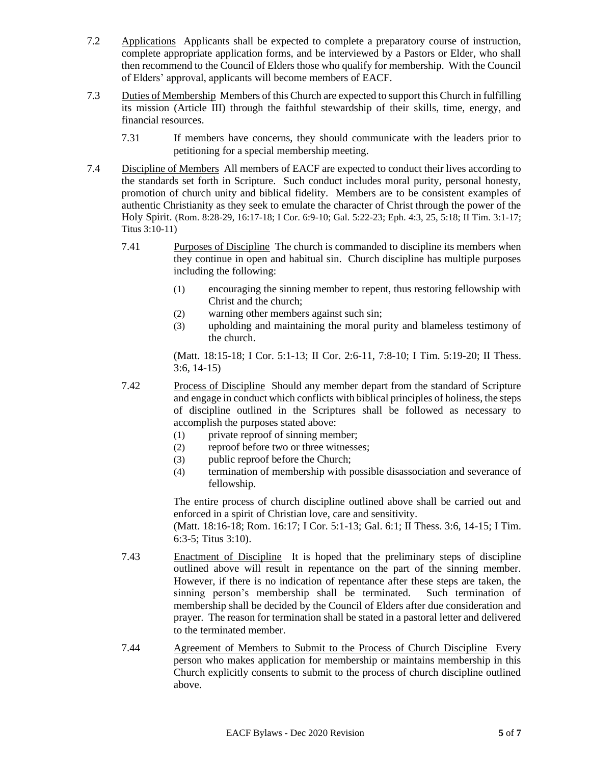- 7.2 Applications Applicants shall be expected to complete a preparatory course of instruction, complete appropriate application forms, and be interviewed by a Pastors or Elder, who shall then recommend to the Council of Elders those who qualify for membership. With the Council of Elders' approval, applicants will become members of EACF.
- 7.3 Duties of Membership Members of this Church are expected to support this Church in fulfilling its mission (Article III) through the faithful stewardship of their skills, time, energy, and financial resources.
	- 7.31 If members have concerns, they should communicate with the leaders prior to petitioning for a special membership meeting.
- 7.4 Discipline of Members All members of EACF are expected to conduct their lives according to the standards set forth in Scripture. Such conduct includes moral purity, personal honesty, promotion of church unity and biblical fidelity. Members are to be consistent examples of authentic Christianity as they seek to emulate the character of Christ through the power of the Holy Spirit. (Rom. 8:28-29, 16:17-18; I Cor. 6:9-10; Gal. 5:22-23; Eph. 4:3, 25, 5:18; II Tim. 3:1-17; Titus 3:10-11)
	- 7.41 Purposes of Discipline The church is commanded to discipline its members when they continue in open and habitual sin. Church discipline has multiple purposes including the following:
		- (1) encouraging the sinning member to repent, thus restoring fellowship with Christ and the church;
		- (2) warning other members against such sin;
		- (3) upholding and maintaining the moral purity and blameless testimony of the church.

(Matt. 18:15-18; I Cor. 5:1-13; II Cor. 2:6-11, 7:8-10; I Tim. 5:19-20; II Thess. 3:6, 14-15)

- 7.42 Process of Discipline Should any member depart from the standard of Scripture and engage in conduct which conflicts with biblical principles of holiness, the steps of discipline outlined in the Scriptures shall be followed as necessary to accomplish the purposes stated above:
	- (1) private reproof of sinning member;
	- (2) reproof before two or three witnesses;
	- (3) public reproof before the Church;
	- (4) termination of membership with possible disassociation and severance of fellowship.

The entire process of church discipline outlined above shall be carried out and enforced in a spirit of Christian love, care and sensitivity.

(Matt. 18:16-18; Rom. 16:17; I Cor. 5:1-13; Gal. 6:1; II Thess. 3:6, 14-15; I Tim. 6:3-5; Titus 3:10).

- 7.43 Enactment of Discipline It is hoped that the preliminary steps of discipline outlined above will result in repentance on the part of the sinning member. However, if there is no indication of repentance after these steps are taken, the sinning person's membership shall be terminated. Such termination of membership shall be decided by the Council of Elders after due consideration and prayer. The reason for termination shall be stated in a pastoral letter and delivered to the terminated member.
- 7.44 Agreement of Members to Submit to the Process of Church Discipline Every person who makes application for membership or maintains membership in this Church explicitly consents to submit to the process of church discipline outlined above.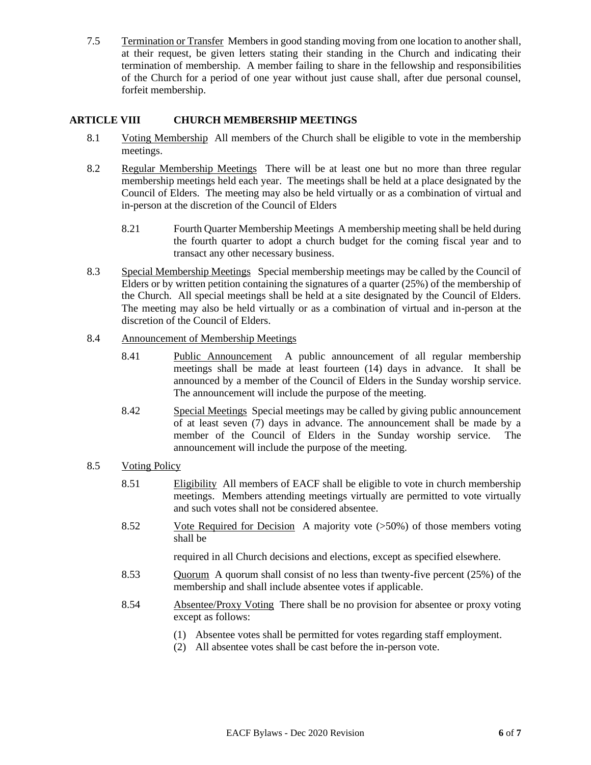7.5 Termination or Transfer Members in good standing moving from one location to another shall, at their request, be given letters stating their standing in the Church and indicating their termination of membership. A member failing to share in the fellowship and responsibilities of the Church for a period of one year without just cause shall, after due personal counsel, forfeit membership.

## **ARTICLE VIII CHURCH MEMBERSHIP MEETINGS**

- 8.1 Voting Membership All members of the Church shall be eligible to vote in the membership meetings.
- 8.2 Regular Membership Meetings There will be at least one but no more than three regular membership meetings held each year. The meetings shall be held at a place designated by the Council of Elders. The meeting may also be held virtually or as a combination of virtual and in-person at the discretion of the Council of Elders
	- 8.21 Fourth Quarter Membership Meetings A membership meeting shall be held during the fourth quarter to adopt a church budget for the coming fiscal year and to transact any other necessary business.
- 8.3 Special Membership Meetings Special membership meetings may be called by the Council of Elders or by written petition containing the signatures of a quarter  $(25%)$  of the membership of the Church. All special meetings shall be held at a site designated by the Council of Elders. The meeting may also be held virtually or as a combination of virtual and in-person at the discretion of the Council of Elders.

#### 8.4 Announcement of Membership Meetings

- 8.41 Public Announcement A public announcement of all regular membership meetings shall be made at least fourteen (14) days in advance. It shall be announced by a member of the Council of Elders in the Sunday worship service. The announcement will include the purpose of the meeting.
- 8.42 Special Meetings Special meetings may be called by giving public announcement of at least seven (7) days in advance. The announcement shall be made by a member of the Council of Elders in the Sunday worship service. The announcement will include the purpose of the meeting.

#### 8.5 Voting Policy

- 8.51 Eligibility All members of EACF shall be eligible to vote in church membership meetings. Members attending meetings virtually are permitted to vote virtually and such votes shall not be considered absentee.
- 8.52 Vote Required for Decision A majority vote (>50%) of those members voting shall be

required in all Church decisions and elections, except as specified elsewhere.

- 8.53 Quorum A quorum shall consist of no less than twenty-five percent (25%) of the membership and shall include absentee votes if applicable.
- 8.54 Absentee/Proxy Voting There shall be no provision for absentee or proxy voting except as follows:
	- (1) Absentee votes shall be permitted for votes regarding staff employment.
		- (2) All absentee votes shall be cast before the in-person vote.